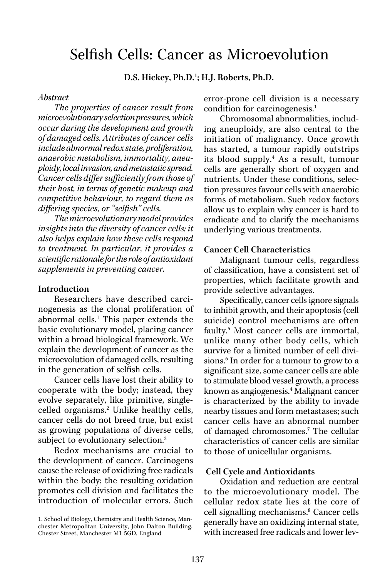# Selfish Cells: Cancer as Microevolution

D.S. Hickey, Ph.D.<sup>1</sup>; H.J. Roberts, Ph.D.

#### *Abstract*

*The properties of cancer result from microevolutionary selection pressures, which occur during the development and growth of damaged cells. Attributes of cancer cells include abnormal redox state, proliferation, anaerobic metabolism, immortality, aneuploidy, local invasion, and metastatic spread. Cancer cells differ sufficiently from those of their host, in terms of genetic makeup and competitive behaviour, to regard them as differing species, or "selfish" cells.* 

*The microevolutionary model provides insights into the diversity of cancer cells; it also helps explain how these cells respond to treatment. In particular, it provides a scientific rationale for the role of antioxidant supplements in preventing cancer.*

### Introduction

Researchers have described carcinogenesis as the clonal proliferation of abnormal cells.<sup>1</sup> This paper extends the basic evolutionary model, placing cancer within a broad biological framework. We explain the development of cancer as the microevolution of damaged cells, resulting in the generation of selfish cells.

Cancer cells have lost their ability to cooperate with the body; instead, they evolve separately, like primitive, singlecelled organisms.<sup>2</sup> Unlike healthy cells, cancer cells do not breed true, but exist as growing populations of diverse cells, subject to evolutionary selection.<sup>3</sup>

Redox mechanisms are crucial to the development of cancer. Carcinogens cause the release of oxidizing free radicals within the body; the resulting oxidation promotes cell division and facilitates the introduction of molecular errors. Such error-prone cell division is a necessary condition for carcinogenesis.<sup>1</sup>

Chromosomal abnormalities, including aneuploidy, are also central to the initiation of malignancy. Once growth has started, a tumour rapidly outstrips its blood supply.4 As a result, tumour cells are generally short of oxygen and nutrients. Under these conditions, selection pressures favour cells with anaerobic forms of metabolism. Such redox factors allow us to explain why cancer is hard to eradicate and to clarify the mechanisms underlying various treatments.

#### Cancer Cell Characteristics

Malignant tumour cells, regardless of classification, have a consistent set of properties, which facilitate growth and provide selective advantages.

Specifically, cancer cells ignore signals to inhibit growth, and their apoptosis (cell suicide) control mechanisms are often faulty.<sup>5</sup> Most cancer cells are immortal, unlike many other body cells, which survive for a limited number of cell divisions.<sup>6</sup> In order for a tumour to grow to a significant size, some cancer cells are able to stimulate blood vessel growth, a process known as angiogenesis.4 Malignant cancer is characterized by the ability to invade nearby tissues and form metastases; such cancer cells have an abnormal number of damaged chromosomes.<sup>7</sup> The cellular characteristics of cancer cells are similar to those of unicellular organisms.

#### Cell Cycle and Antioxidants

Oxidation and reduction are central to the microevolutionary model. The cellular redox state lies at the core of cell signalling mechanisms.<sup>8</sup> Cancer cells generally have an oxidizing internal state, with increased free radicals and lower lev-

<sup>1.</sup> School of Biology, Chemistry and Health Science, Manchester Metropolitan University, John Dalton Building, Chester Street, Manchester M1 5GD, England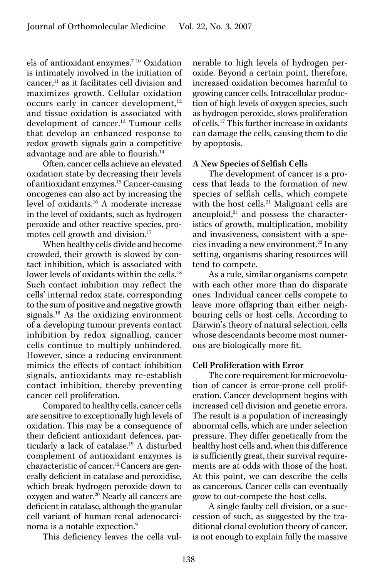els of antioxidant enzymes.7-10 Oxidation is intimately involved in the initiation of cancer, $<sup>11</sup>$  as it facilitates cell division and</sup> maximizes growth. Cellular oxidation occurs early in cancer development, $12$ and tissue oxidation is associated with development of cancer.<sup>13</sup> Tumour cells that develop an enhanced response to redox growth signals gain a competitive advantage and are able to flourish.14

Often, cancer cells achieve an elevated oxidation state by decreasing their levels of antioxidant enzymes.15 Cancer-causing oncogenes can also act by increasing the level of oxidants.16 A moderate increase in the level of oxidants, such as hydrogen peroxide and other reactive species, promotes cell growth and division.<sup>17</sup>

When healthy cells divide and become crowded, their growth is slowed by contact inhibition, which is associated with lower levels of oxidants within the cells.<sup>18</sup> Such contact inhibition may reflect the cells' internal redox state, corresponding to the sum of positive and negative growth signals.<sup>18</sup> As the oxidizing environment of a developing tumour prevents contact inhibition by redox signalling, cancer cells continue to multiply unhindered. However, since a reducing environment mimics the effects of contact inhibition signals, antioxidants may re-establish contact inhibition, thereby preventing cancer cell proliferation.

Compared to healthy cells, cancer cells are sensitive to exceptionally high levels of oxidation. This may be a consequence of their deficient antioxidant defences, particularly a lack of catalase.<sup>19</sup> A disturbed complement of antioxidant enzymes is characteristic of cancer.12 Cancers are generally deficient in catalase and peroxidise, which break hydrogen peroxide down to oxygen and water.20 Nearly all cancers are deficient in catalase, although the granular cell variant of human renal adenocarcinoma is a notable expection.<sup>9</sup>

This deficiency leaves the cells vul-

nerable to high levels of hydrogen peroxide. Beyond a certain point, therefore, increased oxidation becomes harmful to growing cancer cells. Intracellular production of high levels of oxygen species, such as hydrogen peroxide, slows proliferation of cells.17 This further increase in oxidants can damage the cells, causing them to die by apoptosis.

## A New Species of Selfish Cells

The development of cancer is a process that leads to the formation of new species of selfish cells, which compete with the host cells.<sup>21</sup> Malignant cells are aneuploid, $^{21}$  and possess the characteristics of growth, multiplication, mobility and invasiveness, consistent with a species invading a new environment.<sup>22</sup> In any setting, organisms sharing resources will tend to compete.

As a rule, similar organisms compete with each other more than do disparate ones. Individual cancer cells compete to leave more offspring than either neighbouring cells or host cells. According to Darwin's theory of natural selection, cells whose descendants become most numerous are biologically more fit.

### Cell Proliferation with Error

The core requirement for microevolution of cancer is error-prone cell proliferation. Cancer development begins with increased cell division and genetic errors. The result is a population of increasingly abnormal cells, which are under selection pressure. They differ genetically from the healthy host cells and, when this difference is sufficiently great, their survival requirements are at odds with those of the host. At this point, we can describe the cells as cancerous. Cancer cells can eventually grow to out-compete the host cells.

A single faulty cell division, or a succession of such, as suggested by the traditional clonal evolution theory of cancer, is not enough to explain fully the massive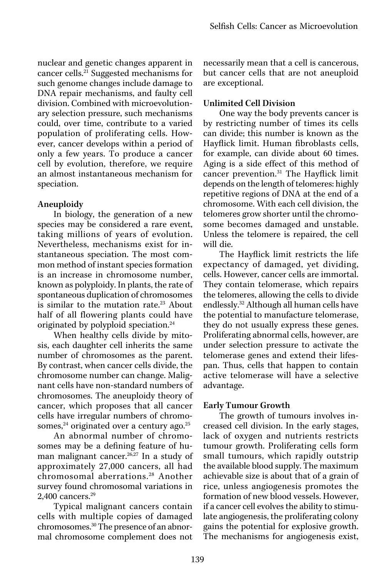nuclear and genetic changes apparent in cancer cells.21 Suggested mechanisms for such genome changes include damage to DNA repair mechanisms, and faulty cell division. Combined with microevolutionary selection pressure, such mechanisms could, over time, contribute to a varied population of proliferating cells. However, cancer develops within a period of only a few years. To produce a cancer cell by evolution, therefore, we require an almost instantaneous mechanism for speciation.

# Aneuploidy

In biology, the generation of a new species may be considered a rare event, taking millions of years of evolution. Nevertheless, mechanisms exist for instantaneous speciation. The most common method of instant species formation is an increase in chromosome number, known as polyploidy. In plants, the rate of spontaneous duplication of chromosomes is similar to the mutation rate.<sup>23</sup> About half of all flowering plants could have originated by polyploid speciation.24

When healthy cells divide by mitosis, each daughter cell inherits the same number of chromosomes as the parent. By contrast, when cancer cells divide, the chromosome number can change. Malignant cells have non-standard numbers of chromosomes. The aneuploidy theory of cancer, which proposes that all cancer cells have irregular numbers of chromosomes,<sup>24</sup> originated over a century ago.<sup>25</sup>

An abnormal number of chromosomes may be a defining feature of human malignant cancer.<sup>26,27</sup> In a study of approximately 27,000 cancers, all had chromosomal aberrations.<sup>28</sup> Another survey found chromosomal variations in 2,400 cancers.<sup>29</sup>

Typical malignant cancers contain cells with multiple copies of damaged chromosomes.30 The presence of an abnormal chromosome complement does not necessarily mean that a cell is cancerous, but cancer cells that are not aneuploid are exceptional.

# Unlimited Cell Division

One way the body prevents cancer is by restricting number of times its cells can divide; this number is known as the Hayflick limit. Human fibroblasts cells, for example, can divide about 60 times. Aging is a side effect of this method of cancer prevention.31 The Hayflick limit depends on the length of telomeres: highly repetitive regions of DNA at the end of a chromosome. With each cell division, the telomeres grow shorter until the chromosome becomes damaged and unstable. Unless the telomere is repaired, the cell will die.

The Hayflick limit restricts the life expectancy of damaged, yet dividing, cells. However, cancer cells are immortal. They contain telomerase, which repairs the telomeres, allowing the cells to divide endlessly.<sup>32</sup> Although all human cells have the potential to manufacture telomerase, they do not usually express these genes. Proliferating abnormal cells, however, are under selection pressure to activate the telomerase genes and extend their lifespan. Thus, cells that happen to contain active telomerase will have a selective advantage.

# Early Tumour Growth

The growth of tumours involves increased cell division. In the early stages, lack of oxygen and nutrients restricts tumour growth. Proliferating cells form small tumours, which rapidly outstrip the available blood supply. The maximum achievable size is about that of a grain of rice, unless angiogenesis promotes the formation of new blood vessels. However, if a cancer cell evolves the ability to stimulate angiogenesis, the proliferating colony gains the potential for explosive growth. The mechanisms for angiogenesis exist,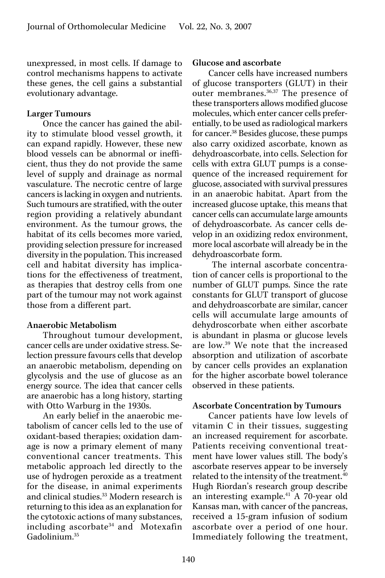unexpressed, in most cells. If damage to control mechanisms happens to activate these genes, the cell gains a substantial evolutionary advantage.

### Larger Tumours

Once the cancer has gained the ability to stimulate blood vessel growth, it can expand rapidly. However, these new blood vessels can be abnormal or inefficient, thus they do not provide the same level of supply and drainage as normal vasculature. The necrotic centre of large cancers is lacking in oxygen and nutrients. Such tumours are stratified, with the outer region providing a relatively abundant environment. As the tumour grows, the habitat of its cells becomes more varied, providing selection pressure for increased diversity in the population. This increased cell and habitat diversity has implications for the effectiveness of treatment, as therapies that destroy cells from one part of the tumour may not work against those from a different part.

## Anaerobic Metabolism

Throughout tumour development, cancer cells are under oxidative stress. Selection pressure favours cells that develop an anaerobic metabolism, depending on glycolysis and the use of glucose as an energy source. The idea that cancer cells are anaerobic has a long history, starting with Otto Warburg in the 1930s.

An early belief in the anaerobic metabolism of cancer cells led to the use of oxidant-based therapies; oxidation damage is now a primary element of many conventional cancer treatments. This metabolic approach led directly to the use of hydrogen peroxide as a treatment for the disease, in animal experiments and clinical studies.<sup>33</sup> Modern research is returning to this idea as an explanation for the cytotoxic actions of many substances, including ascorbate<sup>34</sup> and Motexafin Gadolinium.35

#### Glucose and ascorbate

Cancer cells have increased numbers of glucose transporters (GLUT) in their outer membranes.36,37 The presence of these transporters allows modified glucose molecules, which enter cancer cells preferentially, to be used as radiological markers for cancer.<sup>38</sup> Besides glucose, these pumps also carry oxidized ascorbate, known as dehydroascorbate, into cells. Selection for cells with extra GLUT pumps is a consequence of the increased requirement for glucose, associated with survival pressures in an anaerobic habitat. Apart from the increased glucose uptake, this means that cancer cells can accumulate large amounts of dehydroascorbate. As cancer cells develop in an oxidizing redox environment, more local ascorbate will already be in the dehydroascorbate form.

 The internal ascorbate concentration of cancer cells is proportional to the number of GLUT pumps. Since the rate constants for GLUT transport of glucose and dehydroascorbate are similar, cancer cells will accumulate large amounts of dehydroscorbate when either ascorbate is abundant in plasma or glucose levels are low.39 We note that the increased absorption and utilization of ascorbate by cancer cells provides an explanation for the higher ascorbate bowel tolerance observed in these patients.

### Ascorbate Concentration by Tumours

Cancer patients have low levels of vitamin C in their tissues, suggesting an increased requirement for ascorbate. Patients receiving conventional treatment have lower values still. The body's ascorbate reserves appear to be inversely related to the intensity of the treatment.<sup>40</sup> Hugh Riordan's research group describe an interesting example.<sup>41</sup> A 70-year old Kansas man, with cancer of the pancreas, received a 15-gram infusion of sodium ascorbate over a period of one hour. Immediately following the treatment,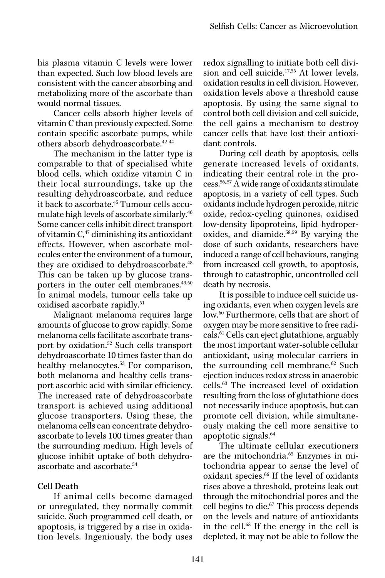his plasma vitamin C levels were lower than expected. Such low blood levels are consistent with the cancer absorbing and metabolizing more of the ascorbate than would normal tissues.

Cancer cells absorb higher levels of vitamin C than previously expected. Some contain specific ascorbate pumps, while others absorb dehydroascorbate.42-44

The mechanism in the latter type is comparable to that of specialised white blood cells, which oxidize vitamin C in their local surroundings, take up the resulting dehydroascorbate, and reduce it back to ascorbate.<sup>45</sup> Tumour cells accumulate high levels of ascorbate similarly.46 Some cancer cells inhibit direct transport of vitamin  $C<sub>1</sub><sup>47</sup>$  diminishing its antioxidant effects. However, when ascorbate molecules enter the environment of a tumour, they are oxidised to dehydroascorbate.<sup>48</sup> This can be taken up by glucose transporters in the outer cell membranes.<sup>49,50</sup> In animal models, tumour cells take up oxidised ascorbate rapidly.<sup>51</sup>

Malignant melanoma requires large amounts of glucose to grow rapidly. Some melanoma cells facilitate ascorbate transport by oxidation.52 Such cells transport dehydroascorbate 10 times faster than do healthy melanocytes.<sup>53</sup> For comparison, both melanoma and healthy cells transport ascorbic acid with similar efficiency. The increased rate of dehydroascorbate transport is achieved using additional glucose transporters. Using these, the melanoma cells can concentrate dehydroascorbate to levels 100 times greater than the surrounding medium. High levels of glucose inhibit uptake of both dehydroascorbate and ascorbate.54

# Cell Death

If animal cells become damaged or unregulated, they normally commit suicide. Such programmed cell death, or apoptosis, is triggered by a rise in oxidation levels. Ingeniously, the body uses

redox signalling to initiate both cell division and cell suicide. $17,55$  At lower levels, oxidation results in cell division. However, oxidation levels above a threshold cause apoptosis. By using the same signal to control both cell division and cell suicide, the cell gains a mechanism to destroy cancer cells that have lost their antioxidant controls.

During cell death by apoptosis, cells generate increased levels of oxidants, indicating their central role in the process.56,.57 A wide range of oxidants stimulate apoptosis, in a variety of cell types. Such oxidants include hydrogen peroxide, nitric oxide, redox-cycling quinones, oxidised low-density lipoproteins, lipid hydroperoxides, and diamide.58,59 By varying the dose of such oxidants, researchers have induced a range of cell behaviours, ranging from increased cell growth, to apoptosis, through to catastrophic, uncontrolled cell death by necrosis.

It is possible to induce cell suicide using oxidants, even when oxygen levels are low.60 Furthermore, cells that are short of oxygen may be more sensitive to free radicals.61 Cells can eject glutathione, arguably the most important water-soluble cellular antioxidant, using molecular carriers in the surrounding cell membrane.<sup>62</sup> Such ejection induces redox stress in anaerobic cells.63 The increased level of oxidation resulting from the loss of glutathione does not necessarily induce apoptosis, but can promote cell division, while simultaneously making the cell more sensitive to apoptotic signals.64

The ultimate cellular executioners are the mitochondria.<sup>65</sup> Enzymes in mitochondria appear to sense the level of oxidant species.<sup>66</sup> If the level of oxidants rises above a threshold, proteins leak out through the mitochondrial pores and the cell begins to die.67 This process depends on the levels and nature of antioxidants in the cell.68 If the energy in the cell is depleted, it may not be able to follow the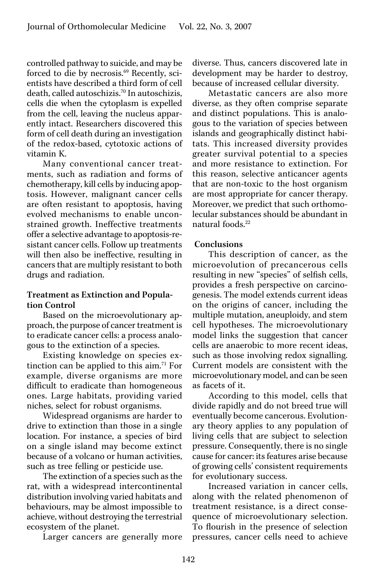controlled pathway to suicide, and may be forced to die by necrosis.<sup>69</sup> Recently, scientists have described a third form of cell death, called autoschizis.70 In autoschizis, cells die when the cytoplasm is expelled from the cell, leaving the nucleus apparently intact. Researchers discovered this form of cell death during an investigation of the redox-based, cytotoxic actions of vitamin K.

Many conventional cancer treatments, such as radiation and forms of chemotherapy, kill cells by inducing apoptosis. However, malignant cancer cells are often resistant to apoptosis, having evolved mechanisms to enable unconstrained growth. Ineffective treatments offer a selective advantage to apoptosis-resistant cancer cells. Follow up treatments will then also be ineffective, resulting in cancers that are multiply resistant to both drugs and radiation.

## Treatment as Extinction and Population Control

Based on the microevolutionary approach, the purpose of cancer treatment is to eradicate cancer cells: a process analogous to the extinction of a species.

Existing knowledge on species extinction can be applied to this aim.<sup>71</sup> For example, diverse organisms are more difficult to eradicate than homogeneous ones. Large habitats, providing varied niches, select for robust organisms.

Widespread organisms are harder to drive to extinction than those in a single location. For instance, a species of bird on a single island may become extinct because of a volcano or human activities, such as tree felling or pesticide use.

The extinction of a species such as the rat, with a widespread intercontinental distribution involving varied habitats and behaviours, may be almost impossible to achieve, without destroying the terrestrial ecosystem of the planet.

Larger cancers are generally more

diverse. Thus, cancers discovered late in development may be harder to destroy, because of increased cellular diversity.

Metastatic cancers are also more diverse, as they often comprise separate and distinct populations. This is analogous to the variation of species between islands and geographically distinct habitats. This increased diversity provides greater survival potential to a species and more resistance to extinction. For this reason, selective anticancer agents that are non-toxic to the host organism are most appropriate for cancer therapy. Moreover, we predict that such orthomolecular substances should be abundant in natural foods.<sup>22</sup>

### Conclusions

This description of cancer, as the microevolution of precancerous cells resulting in new "species" of selfish cells, provides a fresh perspective on carcinogenesis. The model extends current ideas on the origins of cancer, including the multiple mutation, aneuploidy, and stem cell hypotheses. The microevolutionary model links the suggestion that cancer cells are anaerobic to more recent ideas, such as those involving redox signalling. Current models are consistent with the microevolutionary model, and can be seen as facets of it.

According to this model, cells that divide rapidly and do not breed true will eventually become cancerous. Evolutionary theory applies to any population of living cells that are subject to selection pressure. Consequently, there is no single cause for cancer: its features arise because of growing cells' consistent requirements for evolutionary success.

Increased variation in cancer cells, along with the related phenomenon of treatment resistance, is a direct consequence of microevolutionary selection. To flourish in the presence of selection pressures, cancer cells need to achieve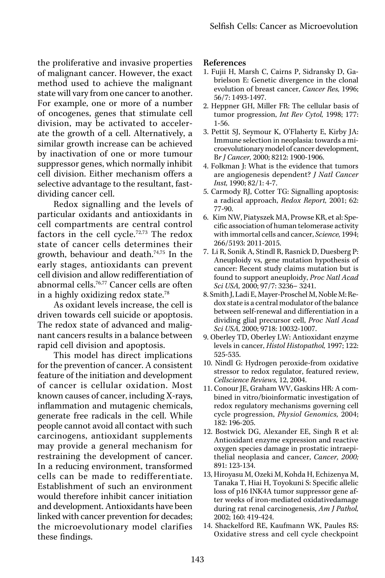the proliferative and invasive properties of malignant cancer. However, the exact method used to achieve the malignant state will vary from one cancer to another. For example, one or more of a number of oncogenes, genes that stimulate cell division, may be activated to accelerate the growth of a cell. Alternatively, a similar growth increase can be achieved by inactivation of one or more tumour suppressor genes, which normally inhibit cell division. Either mechanism offers a selective advantage to the resultant, fastdividing cancer cell.

Redox signalling and the levels of particular oxidants and antioxidants in cell compartments are central control factors in the cell cycle.72,73 The redox state of cancer cells determines their growth, behaviour and death.74,75 In the early stages, antioxidants can prevent cell division and allow redifferentiation of abnormal cells.76,77 Cancer cells are often in a highly oxidizing redox state.78

As oxidant levels increase, the cell is driven towards cell suicide or apoptosis. The redox state of advanced and malignant cancers results in a balance between rapid cell division and apoptosis.

This model has direct implications for the prevention of cancer. A consistent feature of the initiation and development of cancer is cellular oxidation. Most known causes of cancer, including X-rays, inflammation and mutagenic chemicals, generate free radicals in the cell. While people cannot avoid all contact with such carcinogens, antioxidant supplements may provide a general mechanism for restraining the development of cancer. In a reducing environment, transformed cells can be made to redifferentiate. Establishment of such an environment would therefore inhibit cancer initiation and development. Antioxidants have been linked with cancer prevention for decades; the microevolutionary model clarifies these findings.

### References

- 1. Fujii H, Marsh C, Cairns P, Sidransky D, Gabrielson E: Genetic divergence in the clonal evolution of breast cancer, *Cancer Res,* 1996; 56/7: 1493-1497.
- 2. Heppner GH, Miller FR: The cellular basis of tumor progression, *Int Rev Cytol,* 1998; 177: 1-56.
- 3. Pettit SJ, Seymour K, O'Flaherty E, Kirby JA: Immune selection in neoplasia: towards a microevolutionary model of cancer development, B*r J Cancer,* 2000; 8212: 1900-1906.
- 4. Folkman J: What is the evidence that tumors are angiogenesis dependent? *J Natl Cancer Inst,* 1990; 82/1: 4-7.
- 5. Carmody RJ, Cotter TG: Signalling apoptosis: a radical approach, *Redox Report,* 2001; 62: 77-90.
- 6. Kim NW, Piatyszek MA, Prowse KR, et al: Specific association of human telomerase activity with immortal cells and cancer, *Science,* 1994; 266/5193: 2011-2015.
- 7. Li R, Sonik A, Stindl R, Rasnick D, Duesberg P: Aneuploidy vs, gene mutation hypothesis of cancer: Recent study claims mutation but is found to support aneuploidy, *Proc Natl Acad Sci USA,* 2000; 97/7: 3236– 3241.
- 8. Smith J, Ladi E, Mayer-Proschel M, Noble M: Redox state is a central modulator of the balance between self-renewal and differentiation in a dividing glial precursor cell, *Proc Natl Acad Sci USA,* 2000; 9718: 10032-1007.
- 9. Oberley TD, Oberley LW: Antioxidant enzyme levels in cancer, *Histol Histopathol,* 1997; 122: 525-535.
- 10. Nindl G: Hydrogen peroxide-from oxidative stressor to redox regulator, featured review, *Cellscience Reviews,* 12, 2004.
- 11. Conour JE, Graham WV, Gaskins HR: A combined in vitro/bioinformatic investigation of redox regulatory mechanisms governing cell cycle progression, *Physiol Genomics,* 2004; 182: 196-205.
- 12. Bostwick DG, Alexander EE, Singh R et al: Antioxidant enzyme expression and reactive oxygen species damage in prostatic intraepithelial neoplasia and cancer, *Cancer, 2000;*  891: 123-134.
- 13, Hiroyasu M, Ozeki M, Kohda H, Echizenya M, Tanaka T, Hiai H, Toyokuni S: Specific allelic loss of p16 INK4A tumor suppressor gene after weeks of iron-mediated oxidativedamage during rat renal carcinogenesis, *Am J Pathol,*  2002; 160: 419-424.
- 14. Shackelford RE, Kaufmann WK, Paules RS: Oxidative stress and cell cycle checkpoint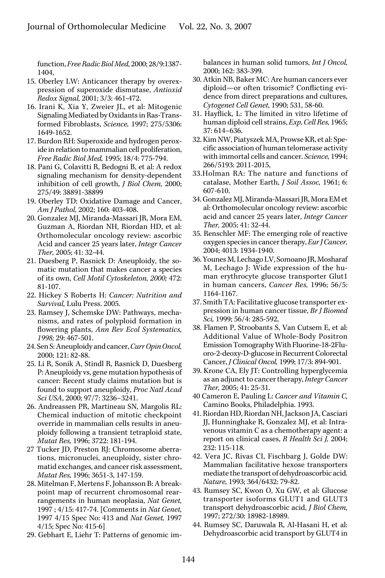function, *Free Radic Biol Med,* 2000; 28/9:1387- 1404,

- 15. Oberley LW: Anticancer therapy by overexpression of superoxide dismutase, *Antioxid Redox Signal,* 2001; 3/3: 461-472.
- 16. Irani K, Xia Y, Zweier JL, et al: Mitogenic Signaling Mediated by Oxidants in Ras-Transformed Fibroblasts, *Science,* 1997; 275/5306: 1649-1652.
- 17. Burdon RH: Superoxide and hydrogen peroxide in relation to mammalian cell proliferation, *Free Radic Biol Med,* 1995; 18/4: 775-794.
- 18. Pani G, Colavitti R, Bedogni B, et al: A redox signaling mechanism for density-dependent inhibition of cell growth, *J Biol Chem,* 2000; 275/49: 38891-38899
- 19. Oberley TD: Oxidative Damage and Cancer, *Am J Pathol,* 2002; 160: 403-408.
- 20. Gonzalez MJ, Miranda-Massari JR, Mora EM, Guzman A, Riordan NH, Riordan HD, et al: Orthomolecular oncology review: ascorbic Acid and cancer 25 years later, *Integr Cancer Ther,* 2005; 41: 32-44.
- 21. Duesberg P, Rasnick D: Aneuploidy, the somatic mutation that makes cancer a species of its own, *Cell Motil Cytoskeleton, 2000;* 472: 81-107.
- 22. Hickey S Roberts H: *Cancer: Nutrition and Survival,* Lulu Press. 2005.
- 23. Ramsey J, Schemske DW: Pathways, mechanisms, and rates of polyploid formation in flowering plants, *Ann Rev Ecol Systematics, 1998;* 29: 467-501.
- 24. Sen S: Aneuploidy and cancer, *Curr Opin Oncol,* 2000; 121: 82-88.
- 25. Li R, Sonik A, Stindl R, Rasnick D, Duesberg P: Aneuploidy vs, gene mutation hypothesis of cancer: Recent study claims mutation but is found to support aneuploidy, *Proc Natl Acad Sci USA*, 2000; 97/7: 3236–3241.
- 26. Andreassen PR, Martineau SN, Margolis RL: Chemical induction of mitotic checkpoint override in mammalian cells results in aneuploidy following a transient tetraploid state, *Mutat Res,* 1996; 3722: 181-194.
- 27 Tucker JD, Preston RJ: Chromosome aberrations, micronuclei, aneuploidy, sister chromatid exchanges, and cancer risk assessment, *Mutat Res,* 1996; 3651-3, 147-159.
- 28. Mitelman F, Mertens F, Johansson B: A breakpoint map of recurrent chromosomal rearrangements in human neoplasia, *Nat Genet,*  1997 ; 4/15: 417-74. [Comments in *Nat Genet,*  1997 4/15 Spec No: 413 and *Nat Genet,* 1997 4/15; Spec No: 415-6]
- 29. Gebhart E, Liehr T: Patterns of genomic im-

balances in human solid tumors, *Int J Oncol,*  2000; 162: 383-399.

- 30. Atkin NB, Baker MC: Are human cancers ever diploid—or often trisomic? Conflicting evidence from direct preparations and cultures, *Cytogenet Cell Genet,* 1990; 531, 58-60.
- 31. Hayflick, L: The limited in vitro lifetime of human diploid cell strains, *Exp, Cell Res,* 1965; 37: 614–636.
- 32. Kim NW, Piatyszek MA, Prowse KR, et al: Specific association of human telomerase activity with immortal cells and cancer. *Science,* 1994; 266/5193: 2011-2015,
- 33.Holman RA: The nature and functions of catalase, Mother Earth, *J Soil Assoc,* 1961; 6: 607-610.
- 34. Gonzalez MJ, Miranda-Massari JR, Mora EM et al: Orthomolecular oncology review: ascorbic acid and cancer 25 years later, *Integr Cancer Ther,* 2005; 41: 32-44.
- 35. Renschler MF: The emerging role of reactive oxygen species in cancer therapy, *Eur J Cancer,* 2004; 4013: 1934-1940.
- 36. Younes M, Lechago LV, Somoano JR, Mosharaf M, Lechago J: Wide expression of the human erythrocyte glucose transporter Glut1 in human cancers, *Cancer Res,* 1996; 56/5: 1164-1167.
- 37. Smith TA: Facilitative glucose transporter expression in human cancer tissue, *Br J Biomed Sci,* 1999; 56/4: 285-592,
- 38. Flamen P, Stroobants S, Van Cutsem E, et al: Additional Value of Whole-Body Positron Emission Tomography With Fluorine-18-2Fluoro-2-deoxy-D-glucose in Recurrent Colorectal Cancer, *J Clinical Oncol,* 1999; 17/3: 894-901.
- 39. Krone CA, Ely JT: Controlling hyperglycemia as an adjunct to cancer therapy, *Integr Cancer Ther,* 2005; 41: 25-31.
- 40 Cameron E, Pauling L: *Cancer and Vitamin C,* Camino Books, Philadelphia. 1993.
- 41. Riordan HD, Riordan NH, Jackson JA, Casciari JJ, Hunninghake R, Gonzalez MJ, et al: Intravenous vitamin C as a chemotherapy agent: a report on clinical cases, *R Health Sci J,* 2004; 232: 115-118.
- 42. Vera JC, Rivas CI, Fischbarg J, Golde DW: Mammalian facilitative hexose transporters mediate the transport of dehydroascorbic acid. *Nature,* 1993; 364/6432: 79-82.
- 43. Rumsey SC, Kwon O, Xu GW, et al: Glucose transporter isoforms GLUT1 and GLUT3 transport dehydroascorbic acid, *J Biol Chem,* 1997; 272/30: 18982-18989.
- 44. Rumsey SC, Daruwala R, Al-Hasani H, et al: Dehydroascorbic acid transport by GLUT4 in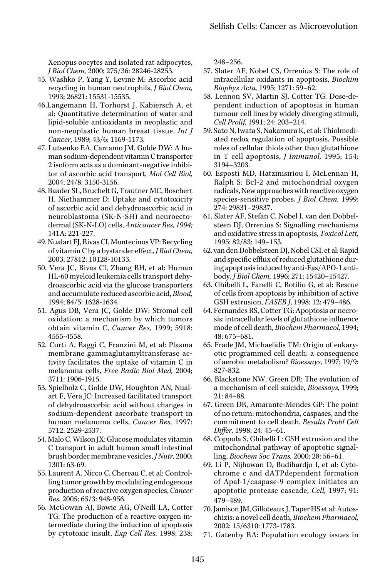Xenopus oocytes and isolated rat adipocytes, *J Biol Chem,* 2000; 275/36: 28246-28253.

- 45. Washko P, Yang Y, Levine M: Ascorbic acid recycling in human neutrophils, *J Biol Chem,* 1993; 26821: 15531-15535.
- 46.Langemann H, Torhorst J, Kabiersch A, et al: Quantitative determination of water-and lipid-soluble antioxidants in neoplastic and non-neoplastic human breast tissue, *Int J Cancer,* 1989; 43/6: 1169-1173.
- 47. Lutsenko EA, Carcamo JM, Golde DW: A human sodium-dependent vitamin C transporter 2 isoform acts as a dominant-negative inhibitor of ascorbic acid transport, *Mol Cell Biol,*  2004; 24/8: 3150-3156.
- 48. Baader SL, Bruchelt G, Trautner MC, Boschert H, Niethammer D: Uptake and cytotoxicity of ascorbic acid and dehydroascorbic acid in neuroblastoma (SK-N-SH) and neuroectodermal (SK-N-LO) cells, *Anticancer Res, 1994;*  141A: 221-227.
- 49. Nualart FJ, Rivas CI, Montecinos VP: Recycling of vitamin C by a bystander effect, *J Biol Chem,* 2003; 27812: 10128-10133.
- 50. Vera JC, Rivas CI, Zhang RH, et al: Human HL-60 myeloid leukemia cells transport dehydroascorbic acid via the glucose transporters and accumulate reduced ascorbic acid, *Blood,* 1994; 84/5: 1628-1634.
- 51. Agus DB, Vera JC, Golde DW: Stromal cell oxidation: a mechanism by which tumors obtain vitamin C, *Cancer Res,* 1999; 5918: 4555-4558.
- 52. Corti A, Raggi C, Franzini M, et al: Plasma membrane gammaglutamyltransferase activity facilitates the uptake of vitamin C in melanoma cells, *Free Radic Biol Med,* 2004; 3711: 1906-1915.
- 53. Spielholz C, Golde DW, Houghton AN, Nualart F, Vera JC: Increased facilitated transport of dehydroascorbic acid without changes in sodium-dependent ascorbate transport in human melanoma cells, *Cancer Res,* 1997; 5712: 2529-2537.
- 54. Malo C, Wilson JX: Glucose modulates vitamin C transport in adult human small intestinal brush border membrane vesicles, *J Nutr,* 2000; 1301: 63-69.
- 55. Laurent A, Nicco C, Chereau C, et al: Controlling tumor growth by modulating endogenous production of reactive oxygen species, *Cancer Res,* 2005; 65/3: 948-956.
- 56. McGowan AJ, Bowie AG, O'Neill LA, Cotter TG: The production of a reactive oxygen intermediate during the induction of apoptosis by cytotoxic insult, *Exp Cell Res,* 1998; 238:

248–256.

- 57. Slater AF, Nobel CS, Orrenius S: The role of intracellular oxidants in apoptosis, *Biochim Biophys Acta,* 1995; 1271: 59–62.
- 58. Lennon SV, Martin SJ, Cotter TG: Dose-dependent induction of apoptosis in human tumour cell lines by widely diverging stimuli, *Cell Prolif,* 1991; 24: 203–214.
- 59. Sato N, Iwata S, Nakamura K, et al: Thiolmediated redox regulation of apoptosis, Possible roles of cellular thiols other than glutathione in T cell apoptosis, *J Immunol,* 1995; 154: 3194–3203.
- 60. Esposti MD, Hatzinisiriou I, McLennan H, Ralph S: Bcl-2 and mitochondrial oxygen radicals, New approaches with reactive oxygen species-sensitive probes, *J Biol Chem,* 1999; 274: 29831–29837.
- 61. Slater AF, Stefan C, Nobel I, van den Dobbelsteen DJ, Orrenius S: Signalling mechanisms and oxidative stress in apoptosis, *Toxicol Lett,* 1995; 82/83: 149–153.
- 62. van den Dobbelsteen DJ, Nobel CSI, et al: Rapid and specific efflux of reduced glutathione during apoptosis induced by anti-Fas/APO-1 antibody, *J Biol Chem,* 1996; 271: 15420–15427.
- 63. Ghibelli L, Fanelli C, Rotilio G, et al: Rescue of cells from apoptosis by inhibition of active GSH extrusion, *FASEB J*, 1998; 12: 479–486.
- 64. Fernandes RS, Cotter TG: Apoptosis or necrosis: intracellular levels of glutathione influence mode of cell death, *Biochem Pharmacol,* 1994; 48: 675–681.
- 65. Frade JM, Michaelidis TM: Origin of eukaryotic programmed cell death: a consequence of aerobic metabolism? *Bioessays,* 1997; 19/9: 827-832.
- 66. Blackstone NW, Green DR: The evolution of a mechanism of cell suicide, *Bioessays,* 1999; 21: 84–88.
- 67. Green DR, Amarante-Mendes GP: The point of no return: mitochondria, caspases, and the commitment to cell death. *Results Probl Cell Differ,* 1998; 24: 45–61.
- 68. Coppola S, Ghibelli L: GSH extrusion and the mitochondrial pathway of apoptotic signalling, *Biochem Soc Trans,* 2000; 28: 56–61.
- 69. Li P, Nijhawan D, Budihardjo I, et al: Cytochrome c and dATPdependent formation of Apaf-1/caspase-9 complex initiates an apoptotic protease cascade, *Cell,* 1997; 91: 479–489.
- 70. Jamison JM, Gilloteaux J, Taper HS et al: Autoschizis: a novel cell death, *Biochem Pharmacol,* 2002; 15/6310: 1773-1783.
- 71. Gatenby RA: Population ecology issues in